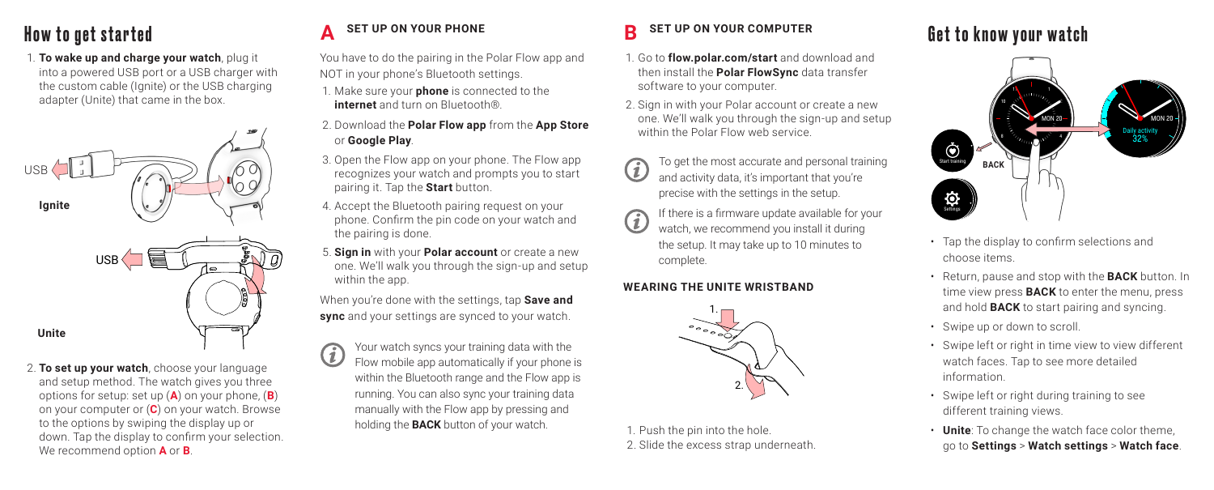1. **To wake up and charge your watch**, plug it into a powered USB port or a USB charger with the custom cable (Ignite) or the USB charging adapter (Unite) that came in the box.



2. **To set up your watch**, choose your language and setup method. The watch gives you three options for setup: set up (**A**) on your phone, (**B**) on your computer or (**C**) on your watch. Browse to the options by swiping the display up or down. Tap the display to confirm your selection. We recommend option **A** or **B**.

### **A B**

You have to do the pairing in the Polar Flow app and NOT in your phone's Bluetooth settings.

- 1. Make sure your **phone** is connected to the **internet** and turn on Bluetooth®.
- 2. Download the **Polar Flow app** from the **App Store** or **Google Play**.
- 3. Open the Flow app on your phone. The Flow app recognizes your watch and prompts you to start pairing it. Tap the **Start** button.
- 4. Accept the Bluetooth pairing request on your phone. Confirm the pin code on your watch and the pairing is done.
- 5. **Sign in** with your **Polar account** or create a new one. We'll walk you through the sign-up and setup within the app.

When you're done with the settings, tap **Save and sync** and your settings are synced to your watch.

Your watch syncs your training data with the G. Flow mobile app automatically if your phone is within the Bluetooth range and the Flow app is running. You can also sync your training data manually with the Flow app by pressing and holding the **BACK** button of your watch.

### **SET UP ON YOUR COMPUTER**

- 1. Go to **flow.polar.com/start** and download and then install the **Polar FlowSync** data transfer software to your computer.
- 2. Sign in with your Polar account or create a new one. We'll walk you through the sign-up and setup within the Polar Flow web service
- To get the most accurate and personal training  $(i)$ and activity data, it's important that you're precise with the settings in the setup.
- If there is a firmware update available for your watch, we recommend you install it during the setup. It may take up to 10 minutes to complete.

### **WEARING THE UNITE WRISTBAND**



1. Push the pin into the hole. 2. Slide the excess strap underneath.

# How to get started  $A$  set up on your phone  $B$  set up on your computer  $B$  for  $\mathbf{F}$  and  $\mathbf{F}$



- Tap the display to confirm selections and choose items.
- Return, pause and stop with the **BACK** button. In time view press **BACK** to enter the menu, press and hold **BACK** to start pairing and syncing.
- Swipe up or down to scroll.
- Swipe left or right in time view to view different watch faces. Tap to see more detailed information.
- Swipe left or right during training to see different training views.
- **Unite**: To change the watch face color theme, go to **Settings** > **Watch settings** > **Watch face**.